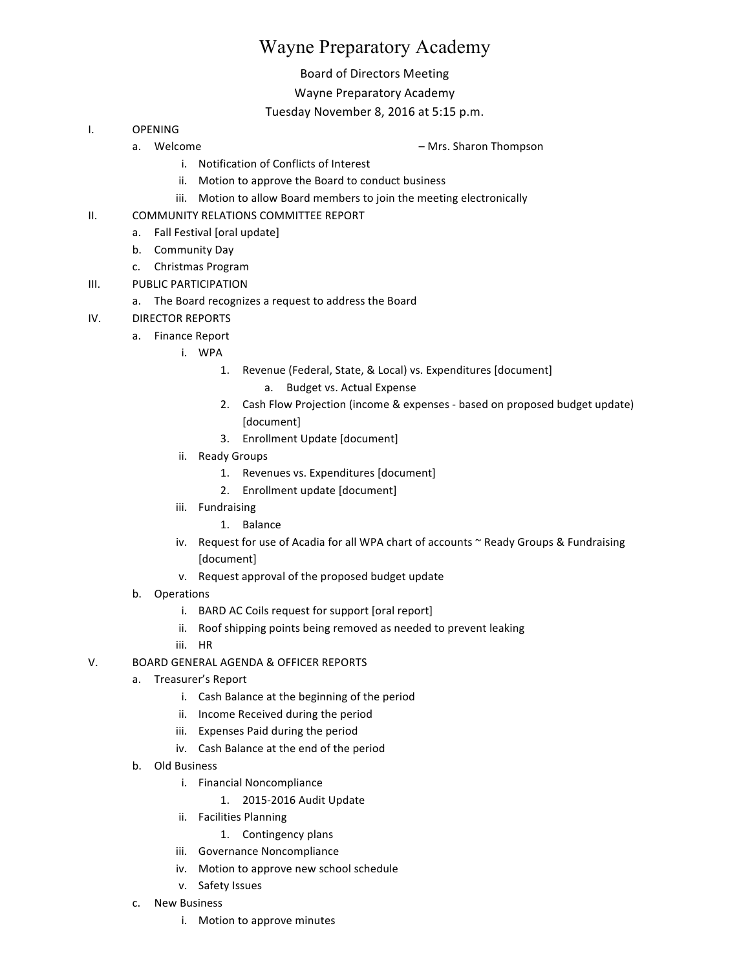# Wayne Preparatory Academy

## Board of Directors Meeting

## Wayne Preparatory Academy

## Tuesday November 8, 2016 at 5:15 p.m.

- I. OPENING
	-
	- a. Welcome **and Comparent Comparent Comparent Comparent Comparent Comparent Comparent Comparent Comparent Comparent Comparent Comparent Comparent Comparent Comparent Comparent Comparent Comparent Comparent Comparent Compar** 
		- i. Notification of Conflicts of Interest
		- ii. Motion to approve the Board to conduct business
		- iii. Motion to allow Board members to join the meeting electronically
- II. COMMUNITY RELATIONS COMMITTEE REPORT
	- a. Fall Festival [oral update]
	- b. Community Day
	- c. Christmas Program
- III. PUBLIC PARTICIPATION
	- a. The Board recognizes a request to address the Board
- IV. DIRECTOR REPORTS
	- a. Finance Report
		- i. WPA
			- 1. Revenue (Federal, State, & Local) vs. Expenditures [document]
				- a. Budget vs. Actual Expense
			- 2. Cash Flow Projection (income & expenses based on proposed budget update) [document]
			- 3. Enrollment Update [document]
		- ii. Ready Groups
			- 1. Revenues vs. Expenditures [document]
			- 2. Enrollment update [document]
		- iii. Fundraising
			- 1. Balance
		- iv. Request for use of Acadia for all WPA chart of accounts ~ Ready Groups & Fundraising [document]
		- v. Request approval of the proposed budget update
	- b. Operations
		- i. BARD AC Coils request for support [oral report]
		- ii. Roof shipping points being removed as needed to prevent leaking
		- iii. HR
- V. BOARD GENERAL AGENDA & OFFICER REPORTS
	- a. Treasurer's Report
		- i. Cash Balance at the beginning of the period
		- ii. Income Received during the period
		- iii. Expenses Paid during the period
		- iv. Cash Balance at the end of the period
	- b. Old Business
		- i. Financial Noncompliance
			- 1. 2015-2016 Audit Update
		- ii. Facilities Planning
			- 1. Contingency plans
		- iii. Governance Noncompliance
		- iv. Motion to approve new school schedule
		- v. Safety Issues
	- c. New Business
		- i. Motion to approve minutes